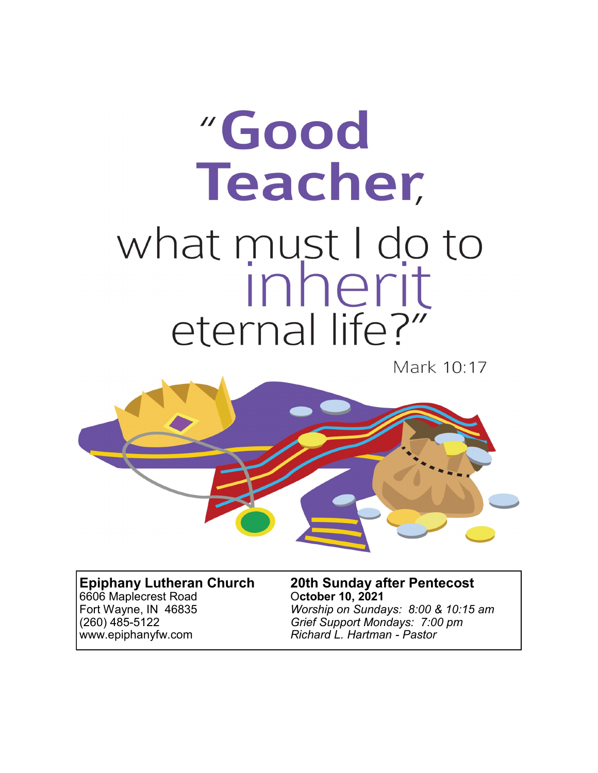# "Good **Teacher,** what must I do to<br>inherit eternal life?"

Mark 10:17



# 6606 Maplecrest Road<br>Fort Wayne, IN 46835

**Epiphany Lutheran Church 20th Sunday after Pentecost** Worship on Sundays: 8:00 & 10:15 am (260) 485-5122 *Grief Support Mondays: 7:00 pm* www.epiphanyfw.com *Richard L. Hartman - Pastor*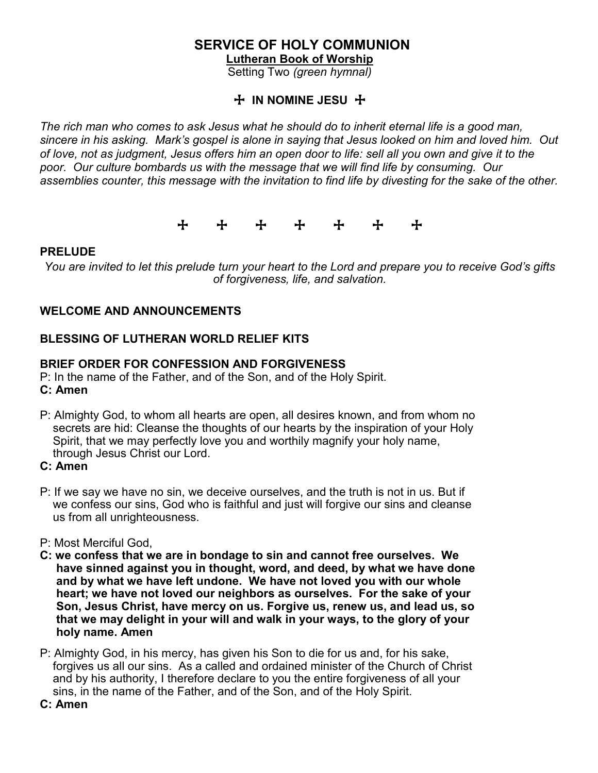# **SERVICE OF HOLY COMMUNION**

**Lutheran Book of Worship** 

Setting Two *(green hymnal)*

#### + **IN NOMINE JESU** +

*The rich man who comes to ask Jesus what he should do to inherit eternal life is a good man, sincere in his asking. Mark's gospel is alone in saying that Jesus looked on him and loved him. Out of love, not as judgment, Jesus offers him an open door to life: sell all you own and give it to the poor. Our culture bombards us with the message that we will find life by consuming. Our assemblies counter, this message with the invitation to find life by divesting for the sake of the other.*

+ + + + + + +

#### **PRELUDE**

*You are invited to let this prelude turn your heart to the Lord and prepare you to receive God's gifts of forgiveness, life, and salvation.*

#### **WELCOME AND ANNOUNCEMENTS**

#### **BLESSING OF LUTHERAN WORLD RELIEF KITS**

#### **BRIEF ORDER FOR CONFESSION AND FORGIVENESS**

P: In the name of the Father, and of the Son, and of the Holy Spirit. **C: Amen**

- P: Almighty God, to whom all hearts are open, all desires known, and from whom no secrets are hid: Cleanse the thoughts of our hearts by the inspiration of your Holy Spirit, that we may perfectly love you and worthily magnify your holy name, through Jesus Christ our Lord.
- **C: Amen**
- P: If we say we have no sin, we deceive ourselves, and the truth is not in us. But if we confess our sins, God who is faithful and just will forgive our sins and cleanse us from all unrighteousness.
- P: Most Merciful God,
- **C: we confess that we are in bondage to sin and cannot free ourselves. We have sinned against you in thought, word, and deed, by what we have done and by what we have left undone. We have not loved you with our whole heart; we have not loved our neighbors as ourselves. For the sake of your Son, Jesus Christ, have mercy on us. Forgive us, renew us, and lead us, so that we may delight in your will and walk in your ways, to the glory of your holy name. Amen**
- P: Almighty God, in his mercy, has given his Son to die for us and, for his sake, forgives us all our sins. As a called and ordained minister of the Church of Christ and by his authority, I therefore declare to you the entire forgiveness of all your sins, in the name of the Father, and of the Son, and of the Holy Spirit.
- **C: Amen**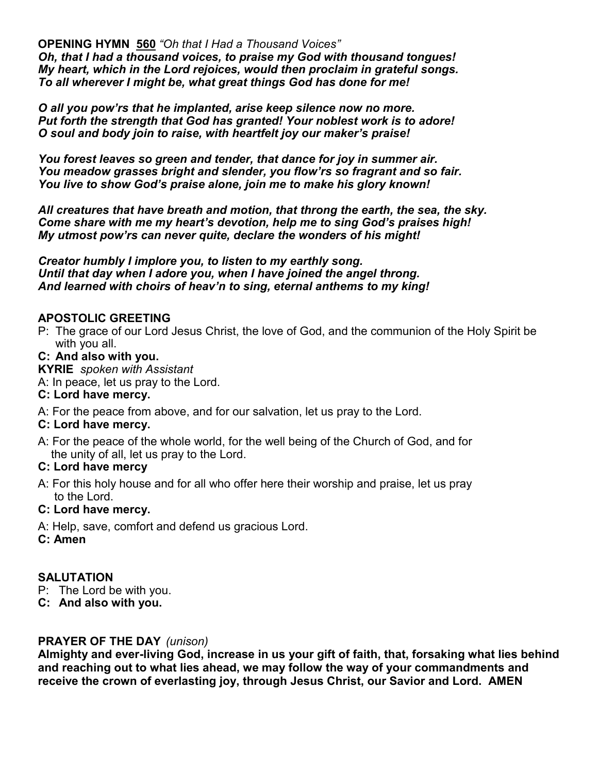**OPENING HYMN 560** *"Oh that I Had a Thousand Voices" Oh, that I had a thousand voices, to praise my God with thousand tongues! My heart, which in the Lord rejoices, would then proclaim in grateful songs. To all wherever I might be, what great things God has done for me!*

*O all you pow'rs that he implanted, arise keep silence now no more. Put forth the strength that God has granted! Your noblest work is to adore! O soul and body join to raise, with heartfelt joy our maker's praise!*

*You forest leaves so green and tender, that dance for joy in summer air. You meadow grasses bright and slender, you flow'rs so fragrant and so fair. You live to show God's praise alone, join me to make his glory known!*

*All creatures that have breath and motion, that throng the earth, the sea, the sky. Come share with me my heart's devotion, help me to sing God's praises high! My utmost pow'rs can never quite, declare the wonders of his might!*

*Creator humbly I implore you, to listen to my earthly song. Until that day when I adore you, when I have joined the angel throng. And learned with choirs of heav'n to sing, eternal anthems to my king!*

#### **APOSTOLIC GREETING**

P: The grace of our Lord Jesus Christ, the love of God, and the communion of the Holy Spirit be with you all.

#### **C: And also with you.**

**KYRIE** *spoken with Assistant*

A: In peace, let us pray to the Lord.

#### **C: Lord have mercy.**

A: For the peace from above, and for our salvation, let us pray to the Lord.

#### **C: Lord have mercy.**

A: For the peace of the whole world, for the well being of the Church of God, and for the unity of all, let us pray to the Lord.

#### **C: Lord have mercy**

A: For this holy house and for all who offer here their worship and praise, let us pray to the Lord.

#### **C: Lord have mercy.**

- A: Help, save, comfort and defend us gracious Lord.
- **C: Amen**

#### **SALUTATION**

- P: The Lord be with you.
- **C: And also with you.**

#### **PRAYER OF THE DAY** *(unison)*

**Almighty and ever-living God, increase in us your gift of faith, that, forsaking what lies behind and reaching out to what lies ahead, we may follow the way of your commandments and receive the crown of everlasting joy, through Jesus Christ, our Savior and Lord. AMEN**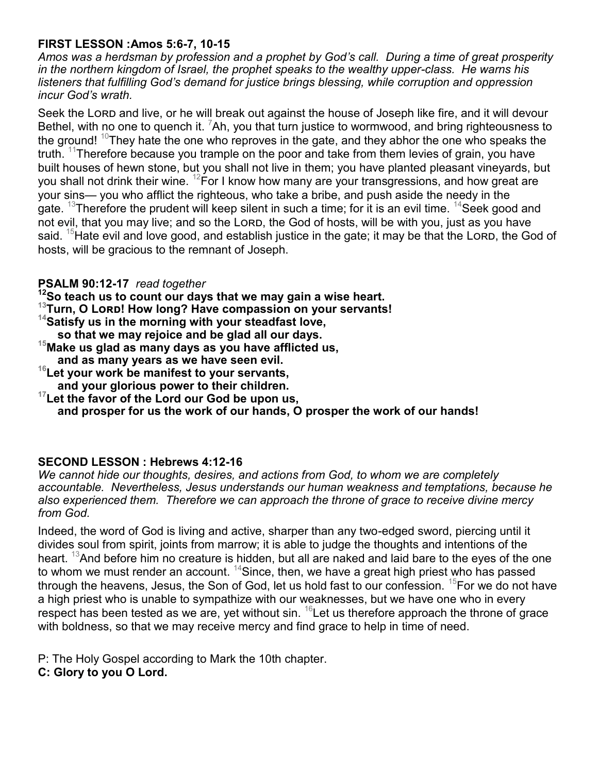#### **FIRST LESSON :Amos 5:6-7, 10-15**

*Amos was a herdsman by profession and a prophet by God's call. During a time of great prosperity in the northern kingdom of Israel, the prophet speaks to the wealthy upper-class. He warns his listeners that fulfilling God's demand for justice brings blessing, while corruption and oppression incur God's wrath.*

Seek the Lorp and live, or he will break out against the house of Joseph like fire, and it will devour Bethel, with no one to quench it. Ah, you that turn justice to wormwood, and bring righteousness to the ground!  $^{10}$ They hate the one who reproves in the gate, and they abhor the one who speaks the truth. <sup>11</sup>Therefore because you trample on the poor and take from them levies of grain, you have built houses of hewn stone, but you shall not live in them; you have planted pleasant vineyards, but you shall not drink their wine. <sup>12</sup>For I know how many are your transgressions, and how great are your sins— you who afflict the righteous, who take a bribe, and push aside the needy in the gate. <sup>13</sup>Therefore the prudent will keep silent in such a time; for it is an evil time. <sup>14</sup>Seek good and not evil, that you may live; and so the Lorp, the God of hosts, will be with you, just as you have said. <sup>15</sup>Hate evil and love good, and establish justice in the gate; it may be that the Lorp, the God of hosts, will be gracious to the remnant of Joseph.

#### **PSALM 90:12-17** *read together*

- **<sup>12</sup>So teach us to count our days that we may gain a wise heart.**
- **<sup>13</sup>Turn, O Lord! How long? Have compassion on your servants!**
- **<sup>14</sup>Satisfy us in the morning with your steadfast love,**
- **so that we may rejoice and be glad all our days.**
- **<sup>15</sup>Make us glad as many days as you have afflicted us,**
- **and as many years as we have seen evil.**
- **<sup>16</sup>Let your work be manifest to your servants, and your glorious power to their children.**
- **<sup>17</sup>Let the favor of the Lord our God be upon us, and prosper for us the work of our hands, O prosper the work of our hands!**

#### **SECOND LESSON : Hebrews 4:12-16**

*We cannot hide our thoughts, desires, and actions from God, to whom we are completely accountable. Nevertheless, Jesus understands our human weakness and temptations, because he also experienced them. Therefore we can approach the throne of grace to receive divine mercy from God.*

Indeed, the word of God is living and active, sharper than any two-edged sword, piercing until it divides soul from spirit, joints from marrow; it is able to judge the thoughts and intentions of the heart. <sup>13</sup>And before him no creature is hidden, but all are naked and laid bare to the eyes of the one to whom we must render an account.  $14$ Since, then, we have a great high priest who has passed through the heavens, Jesus, the Son of God, let us hold fast to our confession.  $^{15}$ For we do not have a high priest who is unable to sympathize with our weaknesses, but we have one who in every respect has been tested as we are, yet without sin.  $16$  Let us therefore approach the throne of grace with boldness, so that we may receive mercy and find grace to help in time of need.

P: The Holy Gospel according to Mark the 10th chapter.

**C: Glory to you O Lord.**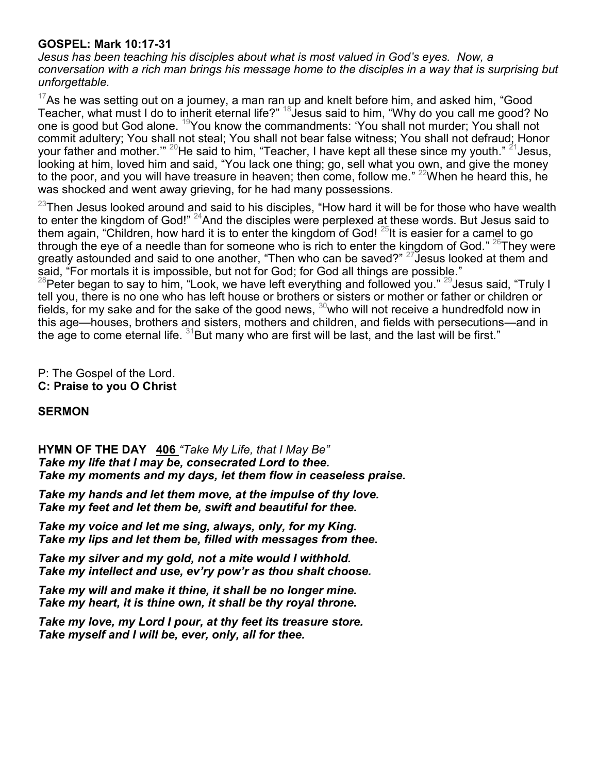#### **GOSPEL: Mark 10:17-31**

*Jesus has been teaching his disciples about what is most valued in God's eyes. Now, a conversation with a rich man brings his message home to the disciples in a way that is surprising but unforgettable.*

 $17$ As he was setting out on a journey, a man ran up and knelt before him, and asked him, "Good Teacher, what must I do to inherit eternal life?"  $^{18}$ Jesus said to him, "Why do you call me good? No one is good but God alone. <sup>19</sup>You know the commandments: 'You shall not murder; You shall not commit adultery; You shall not steal; You shall not bear false witness; You shall not defraud; Honor your father and mother.'"  $^{20}$ He said to him, "Teacher, I have kept all these since my youth."  $^{21}$ Jesus, looking at him, loved him and said, "You lack one thing; go, sell what you own, and give the money to the poor, and you will have treasure in heaven; then come, follow me."  $^{22}$ When he heard this, he was shocked and went away grieving, for he had many possessions.

 $^{23}$ Then Jesus looked around and said to his disciples, "How hard it will be for those who have wealth to enter the kingdom of God!"  $^{24}$ And the disciples were perplexed at these words. But Jesus said to them again, "Children, how hard it is to enter the kingdom of God!<sup>25</sup>It is easier for a camel to go through the eye of a needle than for someone who is rich to enter the kingdom of God."  $^{26}\rm{They}$  were greatly astounded and said to one another, "Then who can be saved?"  $^{27}$ Jesus looked at them and said, "For mortals it is impossible, but not for God; for God all things are possible."

 $^{28}$ Peter began to say to him, "Look, we have left everything and followed you."  $^{29}$ Jesus said, "Truly I tell you, there is no one who has left house or brothers or sisters or mother or father or children or fields, for my sake and for the sake of the good news,  $30$  who will not receive a hundredfold now in this age—houses, brothers and sisters, mothers and children, and fields with persecutions—and in the age to come eternal life.  $31$ But many who are first will be last, and the last will be first."

P: The Gospel of the Lord. **C: Praise to you O Christ**

#### **SERMON**

**HYMN OF THE DAY 406** *"Take My Life, that I May Be" Take my life that I may be, consecrated Lord to thee. Take my moments and my days, let them flow in ceaseless praise.*

*Take my hands and let them move, at the impulse of thy love. Take my feet and let them be, swift and beautiful for thee.*

*Take my voice and let me sing, always, only, for my King. Take my lips and let them be, filled with messages from thee.*

*Take my silver and my gold, not a mite would I withhold. Take my intellect and use, ev'ry pow'r as thou shalt choose.*

*Take my will and make it thine, it shall be no longer mine. Take my heart, it is thine own, it shall be thy royal throne.*

*Take my love, my Lord I pour, at thy feet its treasure store. Take myself and I will be, ever, only, all for thee.*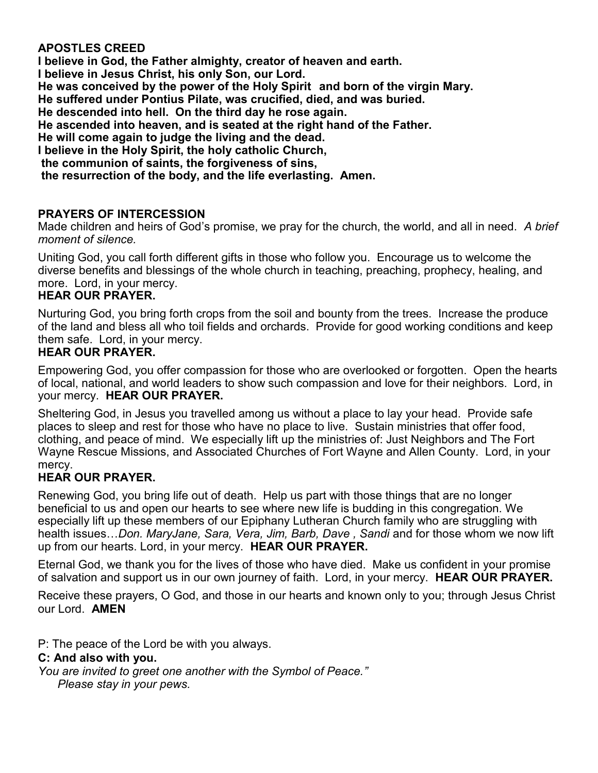#### **APOSTLES CREED**

**I believe in God, the Father almighty, creator of heaven and earth.**

**I believe in Jesus Christ, his only Son, our Lord.**

**He was conceived by the power of the Holy Spirit and born of the virgin Mary.**

**He suffered under Pontius Pilate, was crucified, died, and was buried.**

**He descended into hell. On the third day he rose again.**

**He ascended into heaven, and is seated at the right hand of the Father.**

**He will come again to judge the living and the dead.**

**I believe in the Holy Spirit, the holy catholic Church,** 

**the communion of saints, the forgiveness of sins,**

**the resurrection of the body, and the life everlasting. Amen.**

#### **PRAYERS OF INTERCESSION**

Made children and heirs of God's promise, we pray for the church, the world, and all in need. *A brief moment of silence.*

Uniting God, you call forth different gifts in those who follow you. Encourage us to welcome the diverse benefits and blessings of the whole church in teaching, preaching, prophecy, healing, and more. Lord, in your mercy.

#### **HEAR OUR PRAYER.**

Nurturing God, you bring forth crops from the soil and bounty from the trees. Increase the produce of the land and bless all who toil fields and orchards. Provide for good working conditions and keep them safe. Lord, in your mercy.

#### **HEAR OUR PRAYER.**

Empowering God, you offer compassion for those who are overlooked or forgotten. Open the hearts of local, national, and world leaders to show such compassion and love for their neighbors. Lord, in your mercy. **HEAR OUR PRAYER.**

Sheltering God, in Jesus you travelled among us without a place to lay your head. Provide safe places to sleep and rest for those who have no place to live. Sustain ministries that offer food, clothing, and peace of mind. We especially lift up the ministries of: Just Neighbors and The Fort Wayne Rescue Missions, and Associated Churches of Fort Wayne and Allen County. Lord, in your mercy.

#### **HEAR OUR PRAYER.**

Renewing God, you bring life out of death. Help us part with those things that are no longer beneficial to us and open our hearts to see where new life is budding in this congregation. We especially lift up these members of our Epiphany Lutheran Church family who are struggling with health issues…*Don. MaryJane, Sara, Vera, Jim, Barb, Dave , Sandi* and for those whom we now lift up from our hearts. Lord, in your mercy. **HEAR OUR PRAYER.**

Eternal God, we thank you for the lives of those who have died. Make us confident in your promise of salvation and support us in our own journey of faith. Lord, in your mercy. **HEAR OUR PRAYER.**

Receive these prayers, O God, and those in our hearts and known only to you; through Jesus Christ our Lord. **AMEN**

P: The peace of the Lord be with you always.

#### **C: And also with you.**

*You are invited to greet one another with the Symbol of Peace." Please stay in your pews.*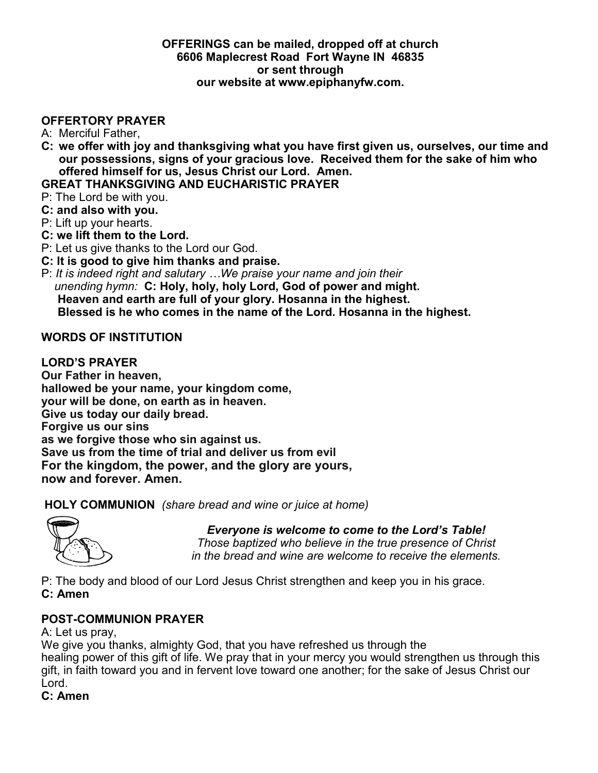#### **OFFERINGS can be mailed, dropped off at church 6606 Maplecrest Road Fort Wayne IN 46835 or sent through our website at www.epiphanyfw.com.**

#### **OFFERTORY PRAYER**

- A: Merciful Father,
- **C: we offer with joy and thanksgiving what you have first given us, ourselves, our time and our possessions, signs of your gracious love. Received them for the sake of him who offered himself for us, Jesus Christ our Lord. Amen.**

#### **GREAT THANKSGIVING AND EUCHARISTIC PRAYER**

- P: The Lord be with you.
- **C: and also with you.**
- P: Lift up your hearts.
- **C: we lift them to the Lord.**
- P: Let us give thanks to the Lord our God.
- **C: It is good to give him thanks and praise.**
- P: *It is indeed right and salutary …We praise your name and join their unending hymn:* **C: Holy, holy, holy Lord, God of power and might. Heaven and earth are full of your glory. Hosanna in the highest. Blessed is he who comes in the name of the Lord. Hosanna in the highest.**

#### **WORDS OF INSTITUTION**

#### **LORD'S PRAYER**

**Our Father in heaven, hallowed be your name, your kingdom come, your will be done, on earth as in heaven. Give us today our daily bread. Forgive us our sins as we forgive those who sin against us. Save us from the time of trial and deliver us from evil For the kingdom, the power, and the glory are yours, now and forever. Amen.** 

**HOLY COMMUNION** *(share bread and wine or juice at home)*



 *Everyone is welcome to come to the Lord's Table! Those baptized who believe in the true presence of Christ in the bread and wine are welcome to receive the elements.* 

P: The body and blood of our Lord Jesus Christ strengthen and keep you in his grace. **C: Amen**

#### **POST-COMMUNION PRAYER**

A: Let us pray,

We give you thanks, almighty God, that you have refreshed us through the healing power of this gift of life. We pray that in your mercy you would strengthen us through this gift, in faith toward you and in fervent love toward one another; for the sake of Jesus Christ our Lord.

**C: Amen**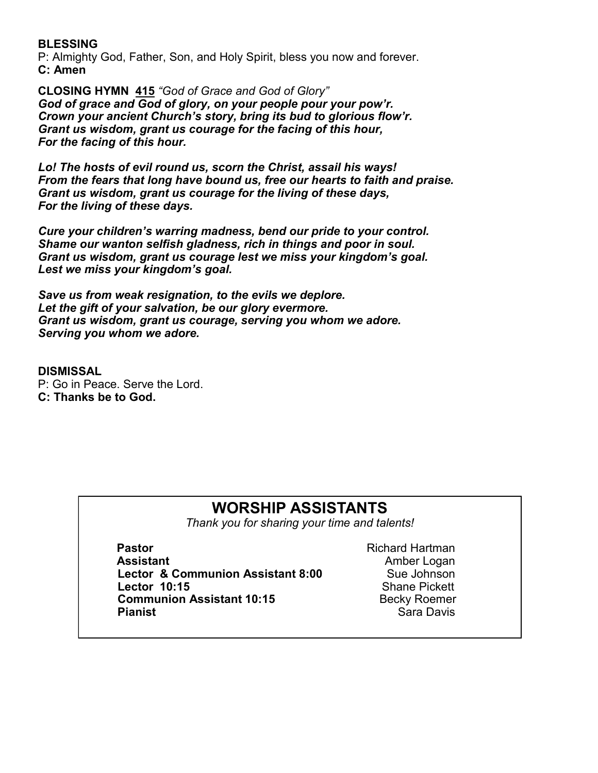#### **BLESSING**

P: Almighty God, Father, Son, and Holy Spirit, bless you now and forever. **C: Amen**

**CLOSING HYMN 415** *"God of Grace and God of Glory" God of grace and God of glory, on your people pour your pow'r. Crown your ancient Church's story, bring its bud to glorious flow'r. Grant us wisdom, grant us courage for the facing of this hour, For the facing of this hour.*

*Lo! The hosts of evil round us, scorn the Christ, assail his ways! From the fears that long have bound us, free our hearts to faith and praise. Grant us wisdom, grant us courage for the living of these days, For the living of these days.*

*Cure your children's warring madness, bend our pride to your control. Shame our wanton selfish gladness, rich in things and poor in soul. Grant us wisdom, grant us courage lest we miss your kingdom's goal. Lest we miss your kingdom's goal.*

*Save us from weak resignation, to the evils we deplore. Let the gift of your salvation, be our glory evermore. Grant us wisdom, grant us courage, serving you whom we adore. Serving you whom we adore.*

**DISMISSAL** P: Go in Peace. Serve the Lord. **C: Thanks be to God.**

## **WORSHIP ASSISTANTS**

*Thank you for sharing your time and talents!*

**Pastor** Richard Hartman **Assistant Amber Logan Lector & Communion Assistant 8:00** Sue Johnson **Lector 10:15** Shane Pickett **Communion Assistant 10:15** Becky Roemer **Pianist** Sara Davis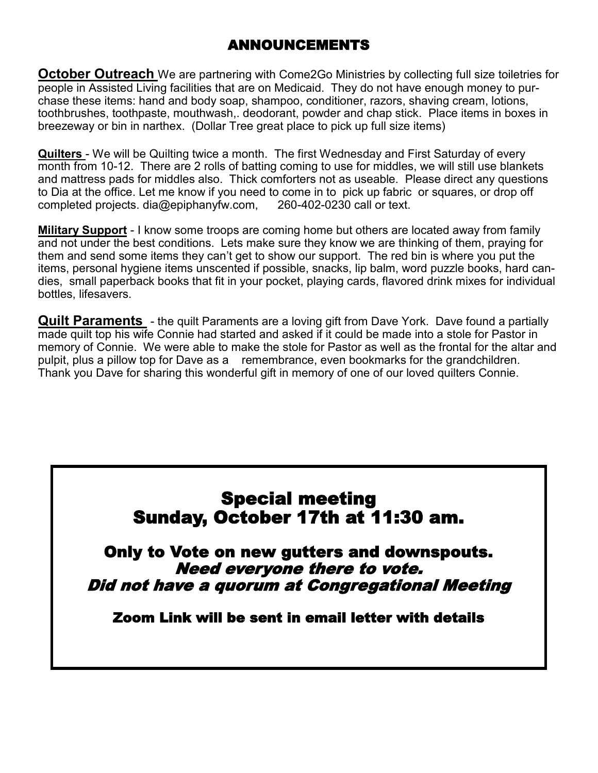# ANNOUNCEMENTS

**October Outreach** We are partnering with Come2Go Ministries by collecting full size toiletries for people in Assisted Living facilities that are on Medicaid. They do not have enough money to purchase these items: hand and body soap, shampoo, conditioner, razors, shaving cream, lotions, toothbrushes, toothpaste, mouthwash,. deodorant, powder and chap stick. Place items in boxes in breezeway or bin in narthex. (Dollar Tree great place to pick up full size items)

**Quilters** - We will be Quilting twice a month. The first Wednesday and First Saturday of every month from 10-12. There are 2 rolls of batting coming to use for middles, we will still use blankets and mattress pads for middles also. Thick comforters not as useable. Please direct any questions to Dia at the office. Let me know if you need to come in to pick up fabric or squares, or drop off completed projects. dia@epiphanyfw.com, 260-402-0230 call or text.

**Military Support** - I know some troops are coming home but others are located away from family and not under the best conditions. Lets make sure they know we are thinking of them, praying for them and send some items they can't get to show our support. The red bin is where you put the items, personal hygiene items unscented if possible, snacks, lip balm, word puzzle books, hard candies, small paperback books that fit in your pocket, playing cards, flavored drink mixes for individual bottles, lifesavers.

**Quilt Paraments** - the quilt Paraments are a loving gift from Dave York. Dave found a partially made quilt top his wife Connie had started and asked if it could be made into a stole for Pastor in memory of Connie. We were able to make the stole for Pastor as well as the frontal for the altar and pulpit, plus a pillow top for Dave as a remembrance, even bookmarks for the grandchildren. Thank you Dave for sharing this wonderful gift in memory of one of our loved quilters Connie.

# Special meeting Sunday, October 17th at 11:30 am.

Only to Vote on new gutters and downspouts. Need everyone there to vote. Did not have a quorum at Congregational Meeting

Zoom Link will be sent in email letter with details